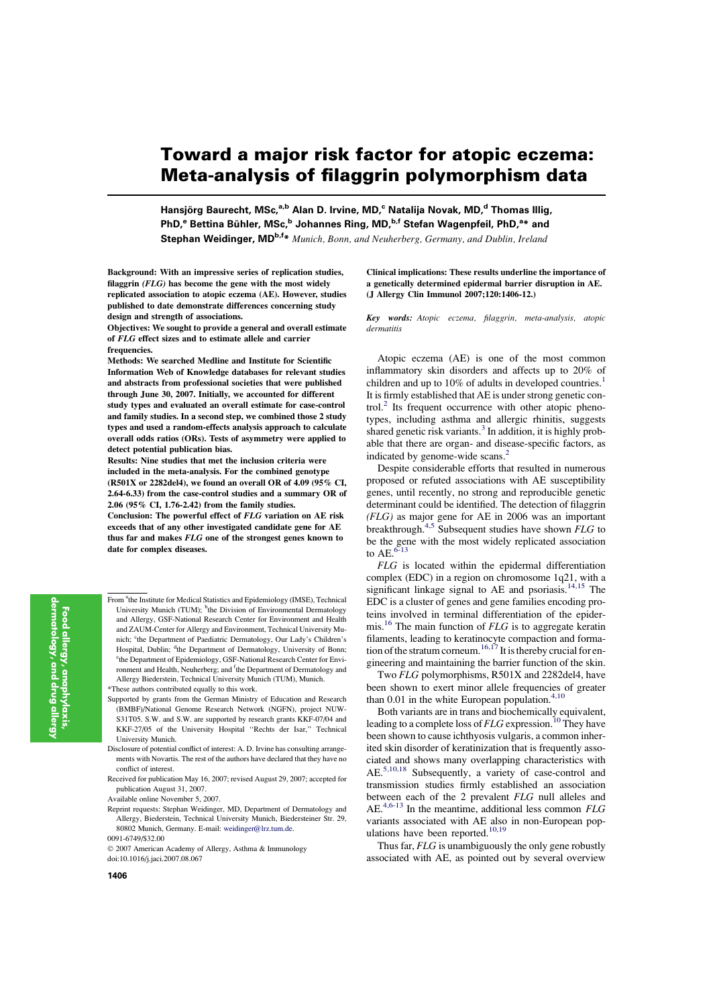# Toward a major risk factor for atopic eczema: Meta-analysis of filaggrin polymorphism data

Hansjörg Baurecht, MSc,<sup>a,b</sup> Alan D. Irvine, MD,<sup>c</sup> Natalija Novak, MD,<sup>d</sup> Thomas Illig, PhD,<sup>e</sup> Bettina Bühler, MSc,<sup>b</sup> Johannes Ring, MD,<sup>b,f</sup> Stefan Wagenpfeil, PhD,<sup>a</sup>\* and Stephan Weidinger, MD<sup>b,f\*</sup> Munich, Bonn, and Neuherberg, Germany, and Dublin, Ireland

Background: With an impressive series of replication studies, filaggrin (FLG) has become the gene with the most widely replicated association to atopic eczema (AE). However, studies published to date demonstrate differences concerning study design and strength of associations.

Objectives: We sought to provide a general and overall estimate of FLG effect sizes and to estimate allele and carrier frequencies.

Methods: We searched Medline and Institute for Scientific Information Web of Knowledge databases for relevant studies and abstracts from professional societies that were published through June 30, 2007. Initially, we accounted for different study types and evaluated an overall estimate for case-control and family studies. In a second step, we combined those 2 study types and used a random-effects analysis approach to calculate overall odds ratios (ORs). Tests of asymmetry were applied to detect potential publication bias.

Results: Nine studies that met the inclusion criteria were included in the meta-analysis. For the combined genotype (R501X or 2282del4), we found an overall OR of 4.09 (95% CI, 2.64-6.33) from the case-control studies and a summary OR of 2.06 (95% CI, 1.76-2.42) from the family studies.

Conclusion: The powerful effect of FLG variation on AE risk exceeds that of any other investigated candidate gene for AE thus far and makes FLG one of the strongest genes known to date for complex diseases.

From <sup>a</sup>the Institute for Medical Statistics and Epidemiology (IMSE), Technical University Munich (TUM); <sup>b</sup>the Division of Environmental Dermatology and Allergy, GSF-National Research Center for Environment and Health and ZAUM-Center for Allergy and Environment, Technical University Munich; <sup>c</sup>the Department of Paediatric Dermatology, Our Lady's Children's Hospital, Dublin; <sup>d</sup>the Department of Dermatology, University of Bonn; <sup>e</sup>the Department of Epidemiology, GSF-National Research Center for Environment and Health, Neuherberg; and <sup>f</sup>the Department of Dermatology and Allergy Biederstein, Technical University Munich (TUM), Munich. \*These authors contributed equally to this work.

- Supported by grants from the German Ministry of Education and Research (BMBF)/National Genome Research Network (NGFN), project NUW-S31T05. S.W. and S.W. are supported by research grants KKF-07/04 and KKF-27/05 of the University Hospital ''Rechts der Isar,'' Technical University Munich.
- Disclosure of potential conflict of interest: A. D. Irvine has consulting arrangements with Novartis. The rest of the authors have declared that they have no conflict of interest.
- Received for publication May 16, 2007; revised August 29, 2007; accepted for publication August 31, 2007.
- Available online November 5, 2007.
- Reprint requests: Stephan Weidinger, MD, Department of Dermatology and Allergy, Biederstein, Technical University Munich, Biedersteiner Str. 29, 80802 Munich, Germany. E-mail: [weidinger@lrz.tum.de.](mailto:weidinger@lrz.tum.de)
- 0091-6749/\$32.00
- $© 2007 American Academy of Allergy, Asthma & Immunology$ doi:10.1016/j.jaci.2007.08.067

#### Clinical implications: These results underline the importance of a genetically determined epidermal barrier disruption in AE. (J Allergy Clin Immunol 2007;120:1406-12.)

Key words: Atopic eczema, filaggrin, meta-analysis, atopic dermatitis

Atopic eczema (AE) is one of the most common inflammatory skin disorders and affects up to 20% of children and up to  $10\%$  of adults in developed countries.<sup>1</sup> It is firmly established that AE is under strong genetic control.<sup>2</sup> Its frequent occurrence with other atopic phenotypes, including asthma and allergic rhinitis, suggests shared genetic risk variants.<sup>3</sup> In addition, it is highly probable that there are organ- and disease-specific factors, as indicated by genome-wide scans.<sup>2</sup>

Despite considerable efforts that resulted in numerous proposed or refuted associations with AE susceptibility genes, until recently, no strong and reproducible genetic determinant could be identified. The detection of filaggrin  $(FLG)$  as major gene for AE in 2006 was an important breakthrough.<sup>4,5</sup> Subsequent studies have shown *FLG* to be the gene with the most widely replicated association to AE.<sup>6-13</sup>

FLG is located within the epidermal differentiation complex (EDC) in a region on chromosome 1q21, with a significant linkage signal to AE and psoriasis.<sup>14,15</sup> The EDC is a cluster of genes and gene families encoding proteins involved in terminal differentiation of the epidermis.<sup>16</sup> The main function of  $FLG$  is to aggregate keratin filaments, leading to keratinocyte compaction and formation of the stratum corneum.<sup>16,17</sup> It is thereby crucial for engineering and maintaining the barrier function of the skin.

Two FLG polymorphisms, R501X and 2282del4, have been shown to exert minor allele frequencies of greater than  $0.01$  in the white European population.<sup>4,10</sup>

Both variants are in trans and biochemically equivalent, leading to a complete loss of  $FLG$  expression.<sup>10</sup> They have been shown to cause ichthyosis vulgaris, a common inherited skin disorder of keratinization that is frequently associated and shows many overlapping characteristics with AE.5,10,18 Subsequently, a variety of case-control and transmission studies firmly established an association between each of the 2 prevalent FLG null alleles and AE.4,6-13 In the meantime, additional less common FLG variants associated with AE also in non-European populations have been reported. $10,19$ 

Thus far, FLG is unambiguously the only gene robustly associated with AE, as pointed out by several overview

1406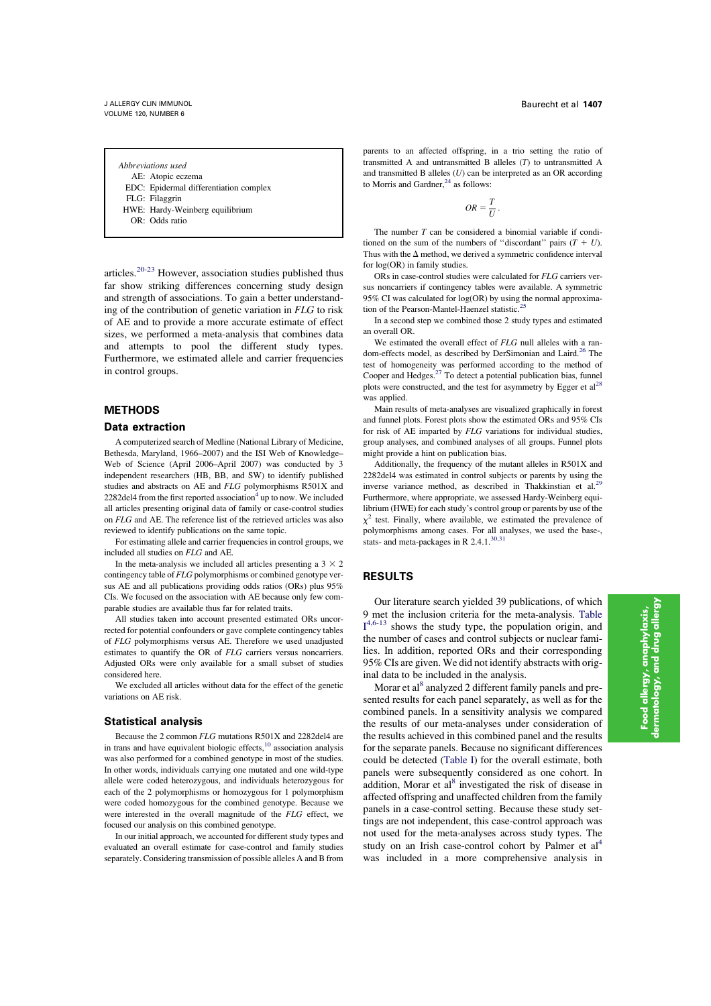Abbreviations used

AE: Atopic eczema

EDC: Epidermal differentiation complex

FLG: Filaggrin

HWE: Hardy-Weinberg equilibrium

OR: Odds ratio

articles.20-23 However, association studies published thus far show striking differences concerning study design and strength of associations. To gain a better understanding of the contribution of genetic variation in FLG to risk of AE and to provide a more accurate estimate of effect sizes, we performed a meta-analysis that combines data and attempts to pool the different study types. Furthermore, we estimated allele and carrier frequencies in control groups.

# **METHODS**

#### Data extraction

A computerized search of Medline (National Library of Medicine, Bethesda, Maryland, 1966–2007) and the ISI Web of Knowledge– Web of Science (April 2006–April 2007) was conducted by 3 independent researchers (HB, BB, and SW) to identify published studies and abstracts on AE and FLG polymorphisms R501X and  $2282$ del4 from the first reported association<sup>4</sup> up to now. We included all articles presenting original data of family or case-control studies on FLG and AE. The reference list of the retrieved articles was also reviewed to identify publications on the same topic.

For estimating allele and carrier frequencies in control groups, we included all studies on FLG and AE.

In the meta-analysis we included all articles presenting a  $3 \times 2$ contingency table of FLG polymorphisms or combined genotype versus AE and all publications providing odds ratios (ORs) plus 95% CIs. We focused on the association with AE because only few comparable studies are available thus far for related traits.

All studies taken into account presented estimated ORs uncorrected for potential confounders or gave complete contingency tables of FLG polymorphisms versus AE. Therefore we used unadjusted estimates to quantify the OR of FLG carriers versus noncarriers. Adjusted ORs were only available for a small subset of studies considered here.

We excluded all articles without data for the effect of the genetic variations on AE risk.

#### Statistical analysis

Because the 2 common FLG mutations R501X and 2282del4 are in trans and have equivalent biologic effects, $10$  association analysis was also performed for a combined genotype in most of the studies. In other words, individuals carrying one mutated and one wild-type allele were coded heterozygous, and individuals heterozygous for each of the 2 polymorphisms or homozygous for 1 polymorphism were coded homozygous for the combined genotype. Because we were interested in the overall magnitude of the FLG effect, we focused our analysis on this combined genotype.

In our initial approach, we accounted for different study types and evaluated an overall estimate for case-control and family studies separately. Considering transmission of possible alleles A and B from

parents to an affected offspring, in a trio setting the ratio of transmitted A and untransmitted B alleles (T) to untransmitted A and transmitted B alleles  $(U)$  can be interpreted as an OR according to Morris and Gardner, $^{24}$  as follows:

$$
OR = \frac{T}{U}.
$$

The number  $T$  can be considered a binomial variable if conditioned on the sum of the numbers of "discordant" pairs  $(T + U)$ . Thus with the  $\Delta$  method, we derived a symmetric confidence interval for log(OR) in family studies.

ORs in case-control studies were calculated for FLG carriers versus noncarriers if contingency tables were available. A symmetric 95% CI was calculated for log(OR) by using the normal approximation of the Pearson-Mantel-Haenzel statistic.<sup>2</sup>

In a second step we combined those 2 study types and estimated an overall OR.

We estimated the overall effect of FLG null alleles with a random-effects model, as described by DerSimonian and Laird.<sup>26</sup> The test of homogeneity was performed according to the method of Cooper and Hedges.<sup>27</sup> To detect a potential publication bias, funnel plots were constructed, and the test for asymmetry by Egger et al<sup>28</sup> was applied.

Main results of meta-analyses are visualized graphically in forest and funnel plots. Forest plots show the estimated ORs and 95% CIs for risk of AE imparted by FLG variations for individual studies, group analyses, and combined analyses of all groups. Funnel plots might provide a hint on publication bias.

Additionally, the frequency of the mutant alleles in R501X and 2282del4 was estimated in control subjects or parents by using the inverse variance method, as described in Thakkinstian et al.<sup>29</sup> Furthermore, where appropriate, we assessed Hardy-Weinberg equilibrium (HWE) for each study's control group or parents by use of the  $x^2$  test. Finally, where available, we estimated the prevalence of polymorphisms among cases. For all analyses, we used the base-, stats- and meta-packages in R 2.4.1.<sup>30,31</sup>

# RESULTS

Our literature search yielded 39 publications, of which 9 met the inclusion criteria for the meta-analysis. Table  $I^{4,6-13}$  shows the study type, the population origin, and the number of cases and control subjects or nuclear families. In addition, reported ORs and their corresponding 95% CIs are given. We did not identify abstracts with original data to be included in the analysis.

Morar et al<sup>8</sup> analyzed 2 different family panels and presented results for each panel separately, as well as for the combined panels. In a sensitivity analysis we compared the results of our meta-analyses under consideration of the results achieved in this combined panel and the results for the separate panels. Because no significant differences could be detected (Table I) for the overall estimate, both panels were subsequently considered as one cohort. In addition, Morar et al<sup>8</sup> investigated the risk of disease in affected offspring and unaffected children from the family panels in a case-control setting. Because these study settings are not independent, this case-control approach was not used for the meta-analyses across study types. The study on an Irish case-control cohort by Palmer et al<sup>4</sup> was included in a more comprehensive analysis in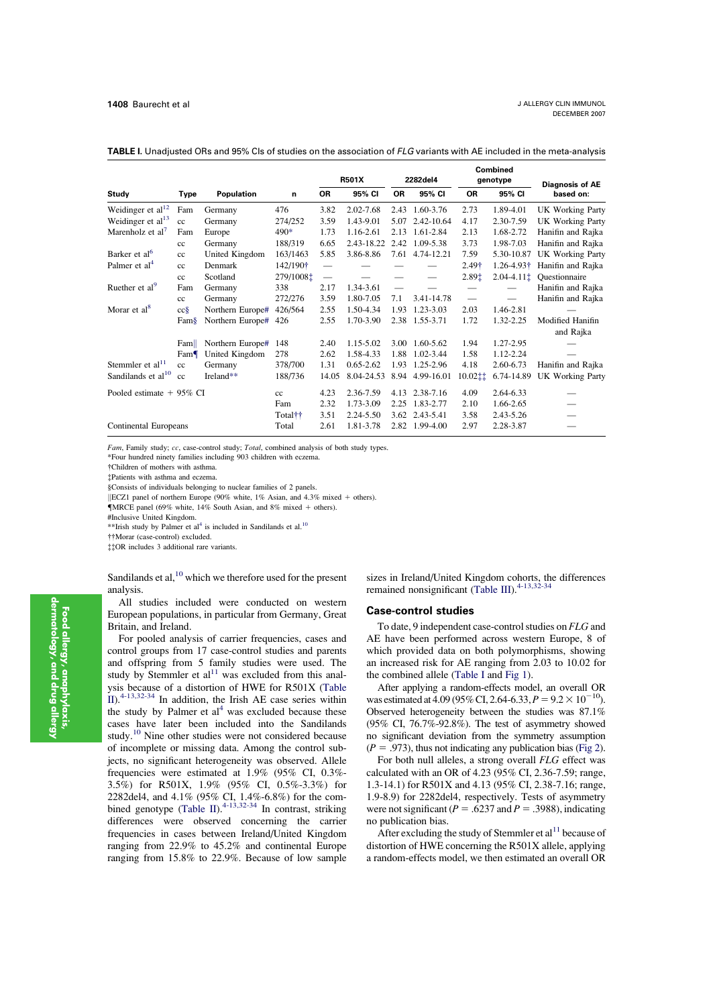|                                |             |                  |                     | <b>R501X</b> |               | 2282del4       |                | Combined<br>genotype           |                | <b>Diagnosis of AE</b>        |  |
|--------------------------------|-------------|------------------|---------------------|--------------|---------------|----------------|----------------|--------------------------------|----------------|-------------------------------|--|
| <b>Study</b>                   | <b>Type</b> | Population       | n                   | <b>OR</b>    | 95% CI        | <b>OR</b>      | 95% CI         | 0R                             | 95% CI         | based on:                     |  |
| Weidinger et al $^{12}$        | Fam         | Germany          | 476                 | 3.82         | 2.02-7.68     | 2.43           | 1.60-3.76      | 2.73                           | 1.89-4.01      | UK Working Party              |  |
| Weidinger et al <sup>13</sup>  | cc          | Germany          | 274/252             | 3.59         | 1.43-9.01     | 5.07           | 2.42-10.64     | 4.17                           | 2.30-7.59      | UK Working Party              |  |
| Marenholz et al <sup>7</sup>   | Fam         | Europe           | $490*$              | 1.73         | 1.16-2.61     | 2.13           | 1.61-2.84      | 2.13                           | 1.68-2.72      | Hanifin and Rajka             |  |
|                                | cc          | Germany          | 188/319             | 6.65         | 2.43-18.22    | 2.42           | 1.09-5.38      | 3.73                           | 1.98-7.03      | Hanifin and Rajka             |  |
| Barker et al <sup>6</sup>      | cc          | United Kingdom   | 163/1463            | 5.85         | 3.86-8.86     | 7.61           | 4.74-12.21     | 7.59                           | 5.30-10.87     | UK Working Party              |  |
| Palmer et al <sup>4</sup>      | cc          | Denmark          | 142/190†            |              |               |                |                | 2.49†                          | 1.26-4.93†     | Hanifin and Rajka             |  |
|                                | cc          | Scotland         | 279/1008:           |              |               |                |                | 2.891                          | $2.04 - 4.111$ | Questionnaire                 |  |
| Ruether et al <sup>9</sup>     | Fam         | Germany          | 338                 | 2.17         | 1.34-3.61     |                |                |                                |                | Hanifin and Rajka             |  |
|                                | cc          | Germany          | 272/276             | 3.59         | 1.80-7.05     | 7.1            | 3.41-14.78     | $\qquad \qquad \longleftarrow$ |                | Hanifin and Rajka             |  |
| Morar et al <sup>8</sup>       | $cc\$       | Northern Europe# | 426/564             | 2.55         | 1.50-4.34     | 1.93           | 1.23-3.03      | 2.03                           | 1.46-2.81      |                               |  |
|                                | Fam§        | Northern Europe# | 426                 | 2.55         | 1.70-3.90     |                | 2.38 1.55-3.71 | 1.72                           | 1.32-2.25      | Modified Hanifin<br>and Rajka |  |
|                                | Fam         | Northern Europe# | 148                 | 2.40         | 1.15-5.02     | 3.00           | 1.60-5.62      | 1.94                           | 1.27-2.95      |                               |  |
|                                | Fam         | United Kingdom   | 278                 | 2.62         | 1.58-4.33     | 1.88           | 1.02-3.44      | 1.58                           | 1.12-2.24      |                               |  |
| Stemmler et al <sup>11</sup>   | cc          | Germany          | 378/700             | 1.31         | $0.65 - 2.62$ | 1.93           | 1.25-2.96      | 4.18                           | 2.60-6.73      | Hanifin and Rajka             |  |
| Sandilands et al <sup>10</sup> | cc          | Ireland**        | 188/736             | 14.05        | 8.04-24.53    | 8.94           | 4.99-16.01     | 10.02‡‡                        | 6.74-14.89     | <b>UK Working Party</b>       |  |
| Pooled estimate $+95\%$ CI     |             |                  | cc                  | 4.23         | 2.36-7.59     |                | 4.13 2.38-7.16 | 4.09                           | 2.64-6.33      |                               |  |
|                                |             |                  | Fam                 | 2.32         | 1.73-3.09     | 2.25           | 1.83-2.77      | 2.10                           | 1.66-2.65      | $\sim$                        |  |
|                                |             |                  | Total <sup>††</sup> | 3.51         | 2.24-5.50     |                | 3.62 2.43-5.41 | 3.58                           | 2.43-5.26      |                               |  |
| Continental Europeans          |             | Total            | 2.61                | 1.81-3.78    |               | 2.82 1.99-4.00 | 2.97           | 2.28-3.87                      |                |                               |  |

TABLE I. Unadjusted ORs and 95% CIs of studies on the association of FLG variants with AE included in the meta-analysis

Fam, Family study; cc, case-control study; Total, combined analysis of both study types.

\*Four hundred ninety families including 903 children with eczema.

!Children of mothers with asthma.

"Patients with asthma and eczema.

§Consists of individuals belonging to nuclear families of 2 panels.

 $\parallel$ ECZ1 panel of northern Europe (90% white, 1% Asian, and 4.3% mixed + others).

 $\blacksquare$  Finite of intention Europe (3.5% minit, 1.6% canning the 14% minites).<br> $\blacksquare$  MRCE panel (69% white, 14% South Asian, and 8% mixed + others).

#Inclusive United Kingdom.

\*\*Irish study by Palmer et al<sup>4</sup> is included in Sandilands et al.<sup>10</sup>

!!Morar (case-control) excluded.

""OR includes 3 additional rare variants.

Sandilands et al,  $^{10}$  which we therefore used for the present analysis.

All studies included were conducted on western European populations, in particular from Germany, Great Britain, and Ireland.

For pooled analysis of carrier frequencies, cases and control groups from 17 case-control studies and parents and offspring from 5 family studies were used. The study by Stemmler et  $al<sup>11</sup>$  was excluded from this analysis because of a distortion of HWE for R501X (Table II).4-13,32-34 In addition, the Irish AE case series within the study by Palmer et  $aI<sup>4</sup>$  was excluded because these cases have later been included into the Sandilands study.<sup>10</sup> Nine other studies were not considered because of incomplete or missing data. Among the control subjects, no significant heterogeneity was observed. Allele frequencies were estimated at 1.9% (95% CI, 0.3%- 3.5%) for R501X, 1.9% (95% CI, 0.5%-3.3%) for 2282del4, and 4.1% (95% CI, 1.4%-6.8%) for the combined genotype (Table II).<sup>4-13,32-34</sup> In contrast, striking differences were observed concerning the carrier frequencies in cases between Ireland/United Kingdom ranging from 22.9% to 45.2% and continental Europe ranging from 15.8% to 22.9%. Because of low sample sizes in Ireland/United Kingdom cohorts, the differences remained nonsignificant (Table III).<sup>4-13,32-34</sup>

### Case-control studies

To date, 9 independent case-control studies on FLG and AE have been performed across western Europe, 8 of which provided data on both polymorphisms, showing an increased risk for AE ranging from 2.03 to 10.02 for the combined allele (Table I and Fig 1).

After applying a random-effects model, an overall OR was estimated at 4.09 (95% CI, 2.64-6.33,  $P = 9.2 \times 10^{-10}$ ). Observed heterogeneity between the studies was 87.1% (95% CI, 76.7%-92.8%). The test of asymmetry showed no significant deviation from the symmetry assumption  $(P = .973)$ , thus not indicating any publication bias (Fig 2).

For both null alleles, a strong overall FLG effect was calculated with an OR of 4.23 (95% CI, 2.36-7.59; range, 1.3-14.1) for R501X and 4.13 (95% CI, 2.38-7.16; range, 1.9-8.9) for 2282del4, respectively. Tests of asymmetry were not significant ( $P = .6237$  and  $P = .3988$ ), indicating no publication bias.

After excluding the study of Stemmler et  $al<sup>11</sup>$  because of distortion of HWE concerning the R501X allele, applying a random-effects model, we then estimated an overall OR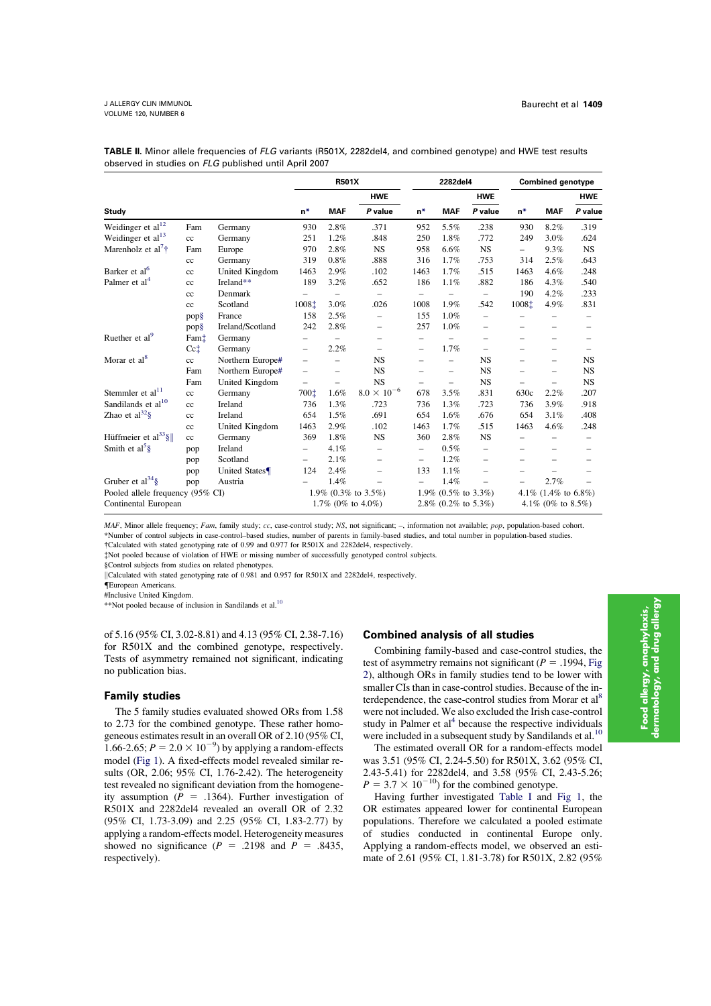|                                  |                 |                  | <b>R501X</b>             |                          |                          |                                  | 2282del4                 |                          | <b>Combined genotype</b>         |                          |                          |
|----------------------------------|-----------------|------------------|--------------------------|--------------------------|--------------------------|----------------------------------|--------------------------|--------------------------|----------------------------------|--------------------------|--------------------------|
|                                  |                 |                  |                          |                          | <b>HWE</b>               |                                  |                          | <b>HWE</b>               |                                  |                          | <b>HWE</b>               |
| Study                            |                 |                  | $n*$                     | <b>MAF</b>               | P value                  | $n*$                             | <b>MAF</b>               | P value                  | $n*$                             | <b>MAF</b>               | P value                  |
| Weidinger et $al12$              | Fam             | Germany          | 930                      | 2.8%                     | .371                     | 952                              | 5.5%                     | .238                     | 930                              | 8.2%                     | .319                     |
| Weidinger et al $^{13}$          | cc              | Germany          | 251                      | 1.2%                     | .848                     | 250                              | 1.8%                     | .772                     | 249                              | 3.0%                     | .624                     |
| Marenholz et al <sup>7†</sup>    | Fam             | Europe           | 970                      | 2.8%                     | <b>NS</b>                | 958                              | 6.6%                     | <b>NS</b>                | $\qquad \qquad -$                | 9.3%                     | NS.                      |
|                                  | cc              | Germany          | 319                      | 0.8%                     | .888                     | 316                              | 1.7%                     | .753                     | 314                              | 2.5%                     | .643                     |
| Barker et al <sup>6</sup>        | cc              | United Kingdom   | 1463                     | 2.9%                     | .102                     | 1463                             | 1.7%                     | .515                     | 1463                             | 4.6%                     | .248                     |
| Palmer et al <sup>4</sup>        | cc              | Ireland**        | 189                      | 3.2%                     | .652                     | 186                              | 1.1%                     | .882                     | 186                              | 4.3%                     | .540                     |
|                                  | cc              | Denmark          |                          | $\overline{\phantom{0}}$ | $\equiv$                 | $\equiv$                         | $\equiv$                 | L.                       | 190                              | 4.2%                     | .233                     |
|                                  | cc              | Scotland         | 1008 <sup>±</sup>        | 3.0%                     | .026                     | 1008                             | 1.9%                     | .542                     | 1008‡                            | 4.9%                     | .831                     |
|                                  | pop§            | France           | 158                      | 2.5%                     | $\overline{\phantom{0}}$ | 155                              | 1.0%                     | $\overline{\phantom{0}}$ |                                  | $\overline{\phantom{m}}$ | $\overline{\phantom{m}}$ |
|                                  | pop§            | Ireland/Scotland | 242                      | 2.8%                     | -                        | 257                              | 1.0%                     | $\overline{\phantom{0}}$ | $\overline{\phantom{0}}$         | $\overline{\phantom{m}}$ | $\overline{\phantom{0}}$ |
| Ruether et al <sup>9</sup>       | Fami            | Germany          | $\qquad \qquad -$        |                          | $\equiv$                 | $\overline{\phantom{0}}$         |                          | $\equiv$                 | $\overline{\phantom{0}}$         | $\equiv$                 | $\overline{\phantom{m}}$ |
|                                  | $Cc$ $\ddagger$ | Germany          | $\equiv$                 | 2.2%                     | -                        | $\overline{\phantom{0}}$         | 1.7%                     | $\overline{\phantom{0}}$ |                                  | $\equiv$                 |                          |
| Morar et al <sup>8</sup>         | cc              | Northern Europe# | $\overline{\phantom{0}}$ | -                        | <b>NS</b>                | $\overline{\phantom{m}}$         | $\qquad \qquad -$        | <b>NS</b>                |                                  | $\overline{\phantom{m}}$ | <b>NS</b>                |
|                                  | Fam             | Northern Europe# | $\qquad \qquad -$        | $\equiv$                 | <b>NS</b>                | $\overline{\phantom{m}}$         | $\overline{\phantom{m}}$ | <b>NS</b>                | $\equiv$                         | $\overline{\phantom{m}}$ | <b>NS</b>                |
|                                  | Fam             | United Kingdom   | $\qquad \qquad -$        | $\overline{\phantom{0}}$ | <b>NS</b>                | $\overline{\phantom{m}}$         | $\overline{\phantom{m}}$ | <b>NS</b>                | $\equiv$                         | $\overline{\phantom{0}}$ | <b>NS</b>                |
| Stemmler et al <sup>11</sup>     | cc              | Germany          | 700‡                     | 1.6%                     | $8.0 \times 10^{-6}$     | 678                              | 3.5%                     | .831                     | 630c                             | 2.2%                     | .207                     |
| Sandilands et al <sup>10</sup>   | cc              | Ireland          | 736                      | 1.3%                     | .723                     | 736                              | 1.3%                     | .723                     | 736                              | 3.9%                     | .918                     |
| Zhao et $al^{32}\$               | cc              | Ireland          | 654                      | 1.5%                     | .691                     | 654                              | 1.6%                     | .676                     | 654                              | 3.1%                     | .408                     |
|                                  | cc              | United Kingdom   | 1463                     | 2.9%                     | .102                     | 1463                             | 1.7%                     | .515                     | 1463                             | 4.6%                     | .248                     |
| Hüffmeier et al <sup>33</sup> §  | cc              | Germany          | 369                      | 1.8%                     | <b>NS</b>                | 360                              | 2.8%                     | <b>NS</b>                |                                  | $\equiv$                 | $\equiv$                 |
| Smith et $al5$ §                 | pop             | Ireland          | -                        | 4.1%                     | $\overline{\phantom{0}}$ | $\overline{\phantom{0}}$         | 0.5%                     | -                        |                                  | -                        | -                        |
|                                  | pop             | Scotland         | $\overline{\phantom{0}}$ | 2.1%                     | $\equiv$                 | $\overline{\phantom{0}}$         | 1.2%                     | $\equiv$                 | $\overline{\phantom{m}}$         | $\overline{\phantom{m}}$ | $\overline{\phantom{m}}$ |
|                                  | pop             | United States    | 124                      | 2.4%                     | $\overline{\phantom{0}}$ | 133                              | 1.1%                     | $\equiv$                 |                                  |                          | $\overline{\phantom{m}}$ |
| Gruber et al <sup>34</sup> §     | pop             | Austria          |                          | 1.4%                     | -                        | $\qquad \qquad -$                | 1.4%                     | $\overline{\phantom{0}}$ | $\overline{\phantom{0}}$         | 2.7%                     |                          |
| Pooled allele frequency (95% CI) |                 |                  | 1.9% (0.3% to 3.5%)      |                          |                          | 1.9% $(0.5\% \text{ to } 3.3\%)$ |                          |                          | 4.1% $(1.4\% \text{ to } 6.8\%)$ |                          |                          |
| Continental European             |                 |                  | 1.7% (0% to $4.0\%$ )    |                          |                          | 2.8% $(0.2\% \text{ to } 5.3\%)$ |                          |                          | 4.1% (0% to 8.5%)                |                          |                          |

TABLE II. Minor allele frequencies of FLG variants (R501X, 2282del4, and combined genotype) and HWE test results observed in studies on FLG published until April 2007

MAF, Minor allele frequency; Fam, family study; cc, case-control study; NS, not significant; –, information not available; pop, population-based cohort. \*Number of control subjects in case-control–based studies, number of parents in family-based studies, and total number in population-based studies.

!Calculated with stated genotyping rate of 0.99 and 0.977 for R501X and 2282del4, respectively.

"Not pooled because of violation of HWE or missing number of successfully genotyped control subjects.

§Control subjects from studies on related phenotypes.

||Calculated with stated genotyping rate of 0.981 and 0.957 for R501X and 2282del4, respectively.

{European Americans.

#Inclusive United Kingdom.

\*\*Not pooled because of inclusion in Sandilands et al.<sup>10</sup>

of 5.16 (95% CI, 3.02-8.81) and 4.13 (95% CI, 2.38-7.16) for R501X and the combined genotype, respectively. Tests of asymmetry remained not significant, indicating no publication bias.

### Family studies

The 5 family studies evaluated showed ORs from 1.58 to 2.73 for the combined genotype. These rather homogeneous estimates result in an overall OR of 2.10 (95% CI, 1.66-2.65;  $P = 2.0 \times 10^{-9}$ ) by applying a random-effects model (Fig 1). A fixed-effects model revealed similar results (OR, 2.06; 95% CI, 1.76-2.42). The heterogeneity test revealed no significant deviation from the homogeneity assumption ( $P = .1364$ ). Further investigation of R501X and 2282del4 revealed an overall OR of 2.32 (95% CI, 1.73-3.09) and 2.25 (95% CI, 1.83-2.77) by applying a random-effects model. Heterogeneity measures showed no significance ( $P = .2198$  and  $P = .8435$ , respectively).

## Combined analysis of all studies

Combining family-based and case-control studies, the test of asymmetry remains not significant ( $P = .1994$ , Fig 2), although ORs in family studies tend to be lower with smaller CIs than in case-control studies. Because of the interdependence, the case-control studies from Morar et al<sup>8</sup> were not included. We also excluded the Irish case-control study in Palmer et  $al<sup>4</sup>$  because the respective individuals were included in a subsequent study by Sandilands et al.  $^{\rm 10}$ 

The estimated overall OR for a random-effects model was 3.51 (95% CI, 2.24-5.50) for R501X, 3.62 (95% CI, 2.43-5.41) for 2282del4, and 3.58 (95% CI, 2.43-5.26;  $P = 3.7 \times 10^{-10}$ ) for the combined genotype.

Having further investigated Table I and Fig 1, the OR estimates appeared lower for continental European populations. Therefore we calculated a pooled estimate of studies conducted in continental Europe only. Applying a random-effects model, we observed an estimate of 2.61 (95% CI, 1.81-3.78) for R501X, 2.82 (95%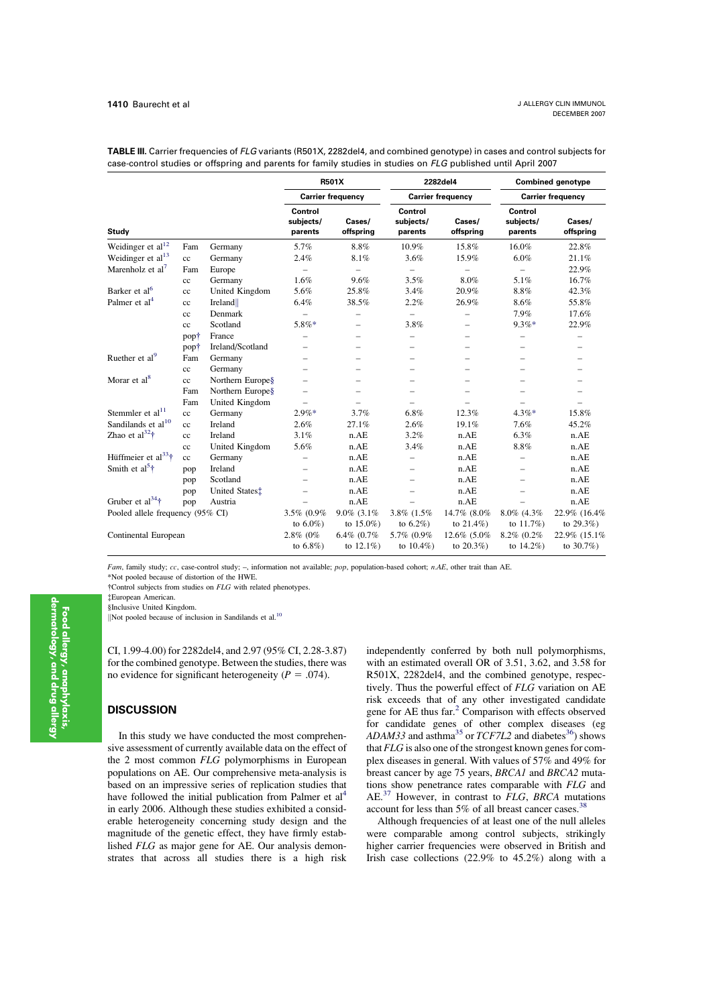|                                                          |             |                  | <b>R501X</b>                    |                          |                                 | 2282del4                 | <b>Combined genotype</b><br><b>Carrier frequency</b> |                     |  |
|----------------------------------------------------------|-------------|------------------|---------------------------------|--------------------------|---------------------------------|--------------------------|------------------------------------------------------|---------------------|--|
| <b>Study</b>                                             |             |                  |                                 | <b>Carrier frequency</b> |                                 | <b>Carrier frequency</b> |                                                      |                     |  |
|                                                          |             |                  | Control<br>subjects/<br>parents | Cases/<br>offspring      | Control<br>subjects/<br>parents | Cases/<br>offspring      | Control<br>subjects/<br>parents                      | Cases/<br>offspring |  |
| Weidinger et al $^{12}$                                  | Fam         | Germany          | 5.7%                            | 8.8%                     | 10.9%                           | 15.8%                    | 16.0%                                                | 22.8%               |  |
| Weidinger et al <sup>13</sup>                            | cc          | Germany          | 2.4%                            | 8.1%                     | 3.6%                            | 15.9%                    | 6.0%                                                 | 21.1%               |  |
| Marenholz et al <sup>7</sup>                             | Fam         | Europe           | $\overline{\phantom{0}}$        | $\qquad \qquad -$        | $\overline{\phantom{0}}$        |                          | $\equiv$                                             | 22.9%               |  |
|                                                          | cc          | Germany          | 1.6%                            | 9.6%                     | 3.5%                            | 8.0%                     | 5.1%                                                 | 16.7%               |  |
| Barker et al <sup>6</sup>                                | cc          | United Kingdom   | 5.6%                            | 25.8%                    | 3.4%                            | 20.9%                    | 8.8%                                                 | 42.3%               |  |
| Palmer et al <sup>4</sup>                                | cc          | Ireland          | 6.4%                            | 38.5%                    | 2.2%                            | 26.9%                    | 8.6%                                                 | 55.8%               |  |
|                                                          | $_{\rm cc}$ | Denmark          | $\equiv$                        |                          | $\overline{\phantom{0}}$        |                          | 7.9%                                                 | 17.6%               |  |
|                                                          | cc          | Scotland         | 5.8%*                           | -                        | 3.8%                            | $\equiv$                 | $9.3%$ *                                             | 22.9%               |  |
|                                                          | pop†        | France           |                                 | $\equiv$                 | $\overline{\phantom{0}}$        | $\overline{\phantom{0}}$ | -                                                    |                     |  |
|                                                          | popt        | Ireland/Scotland |                                 |                          |                                 |                          |                                                      |                     |  |
| Ruether et al <sup>9</sup>                               | Fam         | Germany          |                                 |                          |                                 |                          |                                                      |                     |  |
|                                                          | cc          | Germany          |                                 | $\overline{\phantom{0}}$ | $\equiv$                        |                          | $\overline{\phantom{0}}$                             |                     |  |
| Morar et al <sup>8</sup>                                 | cc          | Northern Europe§ |                                 | ÷.                       |                                 | -                        |                                                      |                     |  |
|                                                          | Fam         | Northern Europe§ |                                 | -                        | $\qquad \qquad -$               |                          |                                                      |                     |  |
|                                                          | Fam         | United Kingdom   | $\equiv$                        | ÷,                       | $\overline{\phantom{0}}$        |                          |                                                      |                     |  |
| Stemmler et al <sup>11</sup>                             | cc          | Germany          | $2.9\%*$                        | 3.7%                     | 6.8%                            | 12.3%                    | $4.3\%*$                                             | 15.8%               |  |
| Sandilands et al <sup>10</sup>                           | cc          | Ireland          | 2.6%                            | 27.1%                    | 2.6%                            | 19.1%                    | 7.6%                                                 | 45.2%               |  |
| Zhao et $al^{32}$ †                                      | cc          | Ireland          | 3.1%                            | n.AE                     | 3.2%                            | n.AE                     | 6.3%                                                 | n.AE                |  |
|                                                          | $_{\rm cc}$ | United Kingdom   | 5.6%                            | n.AE                     | 3.4%                            | n.AE                     | $8.8\%$                                              | n.AE                |  |
| Hüffmeier et al <sup>33</sup> †                          | cc          | Germany          |                                 | n.AE                     |                                 | n.AE                     |                                                      | n.AE                |  |
| Smith et al <sup>5</sup> <sup><math>\dagger</math></sup> | pop         | Ireland          | $\frac{1}{2}$                   | n.AE                     | $\equiv$                        | n.AE                     | -                                                    | n.AE                |  |
|                                                          | pop         | Scotland         | $=$                             | n.AE                     | $\overline{\phantom{0}}$        | n.AE                     | $\overline{\phantom{0}}$                             | n.AE                |  |
|                                                          | pop         | United States:   |                                 | n.AE                     |                                 | n.AE                     |                                                      | n.AE                |  |
| Gruber et al <sup>34</sup> $\dagger$                     | pop         | Austria          |                                 | n.AE                     |                                 | n.AE                     |                                                      | n.AE                |  |
| Pooled allele frequency (95% CI)                         |             |                  | 3.5% (0.9%                      | $9.0\%$ $(3.1\%$         | 3.8% (1.5%)                     | 14.7% (8.0%              | 8.0% (4.3%                                           | 22.9% (16.4%        |  |
|                                                          |             |                  | to $6.0\%$ )                    | to $15.0\%$ )            | to $6.2\%$ )                    | to $21.4\%$ )            | to $11.7\%$ )                                        | to $29.3%$          |  |
| Continental European                                     |             |                  | 2.8% (0%                        | 6.4% (0.7%               | 5.7% (0.9%                      | 12.6% (5.0%              | 8.2% (0.2%)                                          | 22.9% (15.1%)       |  |
|                                                          |             |                  | to $6.8\%$ )                    | to $12.1\%$ )            | to $10.4\%$ )                   | to $20.3%$               | to $14.2\%$ )                                        | to $30.7%$          |  |

TABLE III. Carrier frequencies of FLG variants (R501X, 2282del4, and combined genotype) in cases and control subjects for case-control studies or offspring and parents for family studies in studies on FLG published until April 2007

Fam, family study; cc, case-control study;  $-$ , information not available; pop, population-based cohort; n.AE, other trait than AE.

\*Not pooled because of distortion of the HWE.

!Control subjects from studies on FLG with related phenotypes.

"European American.

§Inclusive United Kingdom.

Not pooled because of inclusion in Sandilands et al.<sup>10</sup>

CI, 1.99-4.00) for 2282del4, and 2.97 (95% CI, 2.28-3.87) for the combined genotype. Between the studies, there was no evidence for significant heterogeneity ( $P = .074$ ).

# **DISCUSSION**

In this study we have conducted the most comprehensive assessment of currently available data on the effect of the 2 most common FLG polymorphisms in European populations on AE. Our comprehensive meta-analysis is based on an impressive series of replication studies that have followed the initial publication from Palmer et al<sup>4</sup> in early 2006. Although these studies exhibited a considerable heterogeneity concerning study design and the magnitude of the genetic effect, they have firmly established FLG as major gene for AE. Our analysis demonstrates that across all studies there is a high risk independently conferred by both null polymorphisms, with an estimated overall OR of 3.51, 3.62, and 3.58 for R501X, 2282del4, and the combined genotype, respectively. Thus the powerful effect of FLG variation on AE risk exceeds that of any other investigated candidate gene for AE thus far.<sup>2</sup> Comparison with effects observed for candidate genes of other complex diseases (eg ADAM33 and asthma<sup>35</sup> or TCF7L2 and diabetes<sup>36</sup>) shows that FLG is also one of the strongest known genes for complex diseases in general. With values of 57% and 49% for breast cancer by age 75 years, BRCA1 and BRCA2 mutations show penetrance rates comparable with FLG and AE.<sup>37</sup> However, in contrast to  $FLG$ , BRCA mutations account for less than  $5\%$  of all breast cancer cases.<sup>38</sup>

Although frequencies of at least one of the null alleles were comparable among control subjects, strikingly higher carrier frequencies were observed in British and Irish case collections  $(22.9\%$  to  $45.2\%)$  along with a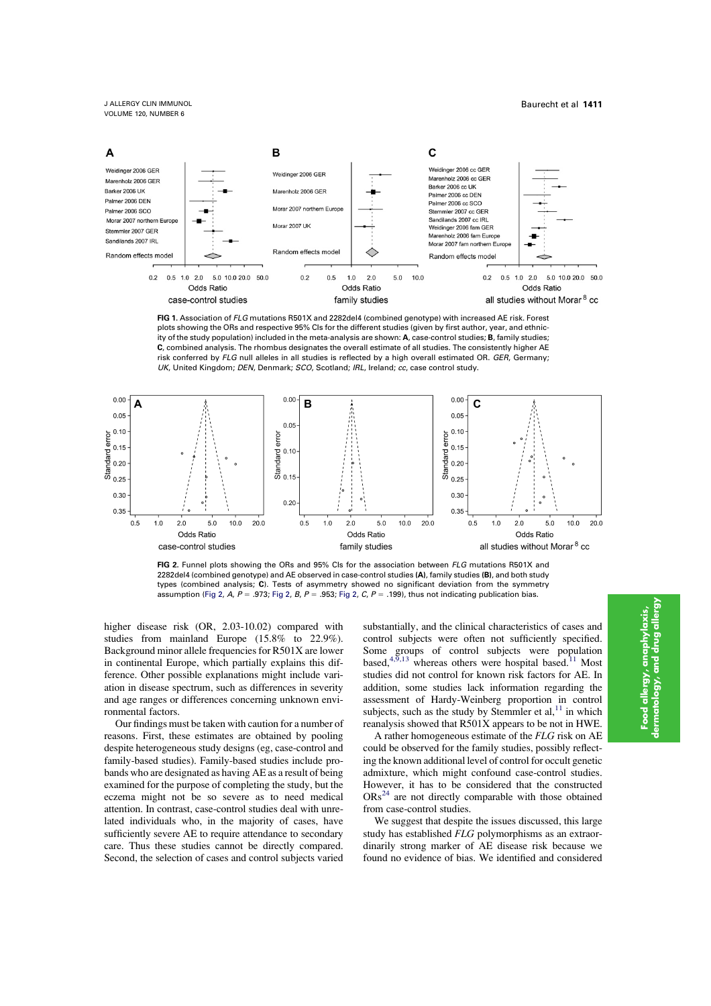

FIG 1. Association of FLG mutations R501X and 2282del4 (combined genotype) with increased AE risk. Forest plots showing the ORs and respective 95% CIs for the different studies (given by first author, year, and ethnicity of the study population) included in the meta-analysis are shown: A, case-control studies; B, family studies; C, combined analysis. The rhombus designates the overall estimate of all studies. The consistently higher AE risk conferred by FLG null alleles in all studies is reflected by a high overall estimated OR. GER, Germany; UK, United Kingdom; DEN, Denmark; SCO, Scotland; IRL, Ireland; cc, case control study.



FIG 2. Funnel plots showing the ORs and 95% CIs for the association between FLG mutations R501X and 2282del4 (combined genotype) and AE observed in case-control studies (A), family studies (B), and both study types (combined analysis; C). Tests of asymmetry showed no significant deviation from the symmetry assumption (Fig 2, A, P = .973; Fig 2, B, P = .953; Fig 2, C, P = .199), thus not indicating publication bias.

higher disease risk (OR, 2.03-10.02) compared with studies from mainland Europe (15.8% to 22.9%). Background minor allele frequencies for R501X are lower in continental Europe, which partially explains this difference. Other possible explanations might include variation in disease spectrum, such as differences in severity and age ranges or differences concerning unknown environmental factors.

Our findings must be taken with caution for a number of reasons. First, these estimates are obtained by pooling despite heterogeneous study designs (eg, case-control and family-based studies). Family-based studies include probands who are designated as having AE as a result of being examined for the purpose of completing the study, but the eczema might not be so severe as to need medical attention. In contrast, case-control studies deal with unrelated individuals who, in the majority of cases, have sufficiently severe AE to require attendance to secondary care. Thus these studies cannot be directly compared. Second, the selection of cases and control subjects varied substantially, and the clinical characteristics of cases and control subjects were often not sufficiently specified. Some groups of control subjects were population based,<sup>4,9,13</sup> whereas others were hospital based.<sup>11</sup> Most studies did not control for known risk factors for AE. In addition, some studies lack information regarding the assessment of Hardy-Weinberg proportion in control subjects, such as the study by Stemmler et al, $^{11}$  in which reanalysis showed that R501X appears to be not in HWE.

A rather homogeneous estimate of the FLG risk on AE could be observed for the family studies, possibly reflecting the known additional level of control for occult genetic admixture, which might confound case-control studies. However, it has to be considered that the constructed  $ORs<sup>24</sup>$  are not directly comparable with those obtained from case-control studies.

We suggest that despite the issues discussed, this large study has established FLG polymorphisms as an extraordinarily strong marker of AE disease risk because we found no evidence of bias. We identified and considered